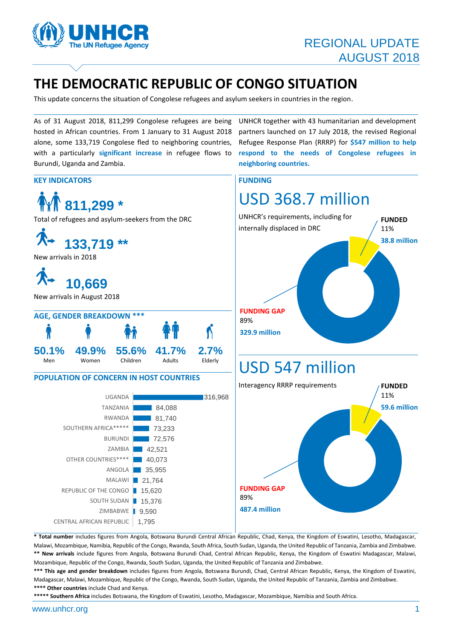

UNHCR together with 43 humanitarian and development partners launched on 17 July 2018, the revised Regional Refugee Response Plan (RRRP) for **\$547 million to help respond to the needs of Congolese refugees in** 

**neighboring countries.**

# **THE DEMOCRATIC REPUBLIC OF CONGO SITUATION**

This update concerns the situation of Congolese refugees and asylum seekers in countries in the region.

As of 31 August 2018, 811,299 Congolese refugees are being hosted in African countries. From 1 January to 31 August 2018 alone, some 133,719 Congolese fled to neighboring countries, with a particularly **significant increase** in refugee flows to Burundi, Uganda and Zambia.

#### **KEY INDICATORS** FUNDING



**\* Total number** includes figures from Angola, Botswana Burundi Central African Republic, Chad, Kenya, the Kingdom of Eswatini, Lesotho, Madagascar, Malawi, Mozambique, Namibia, Republic of the Congo, Rwanda, South Africa, South Sudan, Uganda, the United Republic of Tanzania, Zambia and Zimbabwe. **\*\* New arrivals** include figures from Angola, Botswana Burundi Chad, Central African Republic, Kenya, the Kingdom of Eswatini Madagascar, Malawi, Mozambique, Republic of the Congo, Rwanda, South Sudan, Uganda, the United Republic of Tanzania and Zimbabwe.

**\*\*\* This age and gender breakdown** includes figures from Angola, Botswana Burundi, Chad, Central African Republic, Kenya, the Kingdom of Eswatini, Madagascar, Malawi, Mozambique, Republic of the Congo, Rwanda, South Sudan, Uganda, the United Republic of Tanzania, Zambia and Zimbabwe. **\*\*\*\* Other countries** include Chad and Kenya.

**\*\*\*\*\* Southern Africa** includes Botswana, the Kingdom of Eswatini, Lesotho, Madagascar, Mozambique, Namibia and South Africa.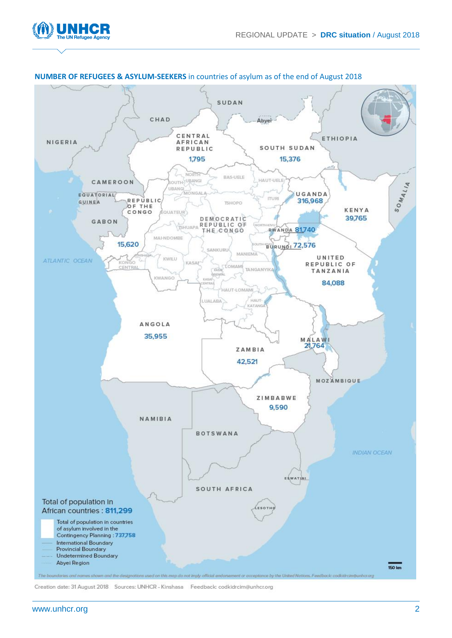



#### **NUMBER OF REFUGEES & ASYLUM-SEEKERS** in countries of asylum as of the end of August 2018

Creation date: 31 August 2018 Sources: UNHCR - Kinshasa Feedback: codkidrcim@unhcr.org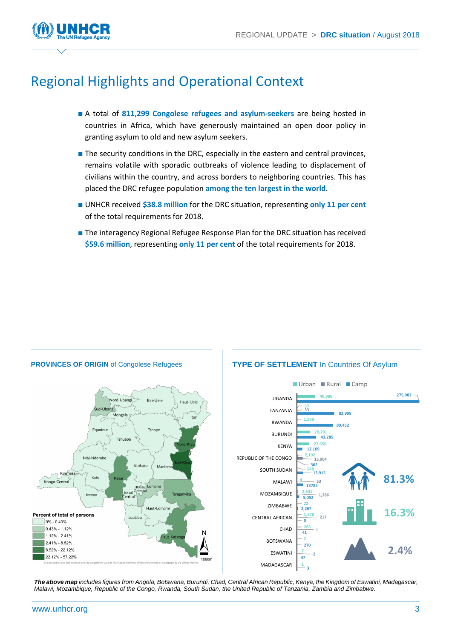

# Regional Highlights and Operational Context

- A total of **811,299 Congolese refugees and asylum-seekers** are being hosted in countries in Africa, which have generously maintained an open door policy in granting asylum to old and new asylum seekers.
- The security conditions in the DRC, especially in the eastern and central provinces, remains volatile with sporadic outbreaks of violence leading to displacement of civilians within the country, and across borders to neighboring countries. This has placed the DRC refugee population **among the ten largest in the world**.
- UNHCR received **\$38.8 million** for the DRC situation, representing **only 11 per cent** of the total requirements for 2018.
- The interagency Regional Refugee Response Plan for the DRC situation has received **\$59.6 million**, representing **only 11 per cent** of the total requirements for 2018.



*The above map includes figures from Angola, Botswana, Burundi, Chad, Central African Republic, Kenya, the Kingdom of Eswatini, Madagascar, Malawi, Mozambique, Republic of the Congo, Rwanda, South Sudan, the United Republic of Tanzania, Zambia and Zimbabwe.*

#### **PROVINCES OF ORIGIN** of Congolese Refugees **TYPE OF SETTLEMENT** In Countries Of Asylum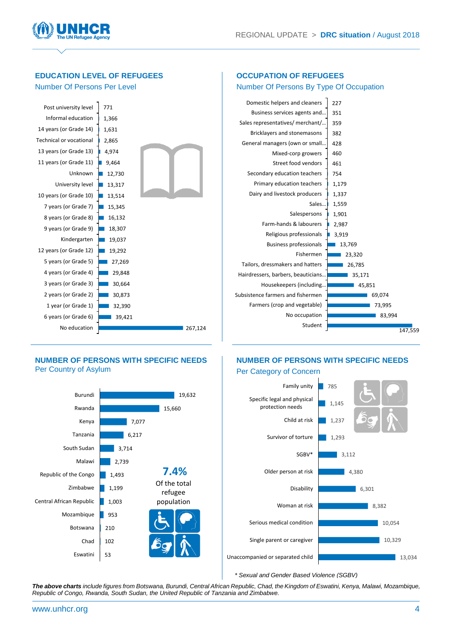**OCCUPATION OF REFUGEES**



**EDUCATION LEVEL OF REFUGEES** 

#### Number Of Persons Per Level Number Of Persons By Type Of Occupation 267,124 39,421 32,390 30,873 30,664 29,848  $27,269$ 19,292 19,037  $18,307$ 16,132 15.345 13,514 13,317  $12,730$ 9,464 4,974 2,865 1,631 1,366 771 No education 6 years (or Grade 6) 1 year (or Grade 1) 2 years (or Grade 2) 3 years (or Grade 3) 4 years (or Grade 4) 5 years (or Grade 5) 12 years (or Grade 12) Kindergarten 9 years (or Grade 9) 8 years (or Grade 8) 7 years (or Grade 7) 10 years (or Grade 10) University level Unknown 11 years (or Grade 11) 13 years (or Grade 13) Technical or vocational 14 years (or Grade 14) Informal education Post university level 147,559 83,994 73,995 69,074 45,851 35,171 26,785 23,320  $13,769$ 3,919 2,987 1,901 1,559 1,337 1,179 754 461 460 428 382 359 351  $227$ Student No occupation Farmers (crop and vegetable) Subsistence farmers and fishermen Housekeepers (including… Hairdressers, barbers, beauticians… Tailors, dressmakers and hatters Fishermen Business professionals Religious professionals Farm-hands & labourers Salespersons Sales… Dairy and livestock producers Primary education teachers Secondary education teachers Street food vendors Mixed-corp growers General managers (own or small… Bricklayers and stonemasons Sales representatives/ merchant/… Business services agents and… Domestic helpers and cleaners

#### **NUMBER OF PERSONS WITH SPECIFIC NEEDS**  Per Country of Asylum

6,217 7,077 15,660

**7.4%** Of the total refugee population

19,632

## **NUMBER OF PERSONS WITH SPECIFIC NEEDS**



*\* Sexual and Gender Based Violence (SGBV)*

*The above charts include figures from Botswana, Burundi, Central African Republic, Chad, the Kingdom of Eswatini, Kenya, Malawi, Mozambique, Republic of Congo, Rwanda, South Sudan, the United Republic of Tanzania and Zimbabwe.*

Central African Republic

Republic of the Congo

Eswatini

Botswana

Zimbabwe

Malawi South Sudan Tanzania Kenya Rwanda Burundi

53 102 210 953 1,003  $1,199$ 1,493 2,739 3,714

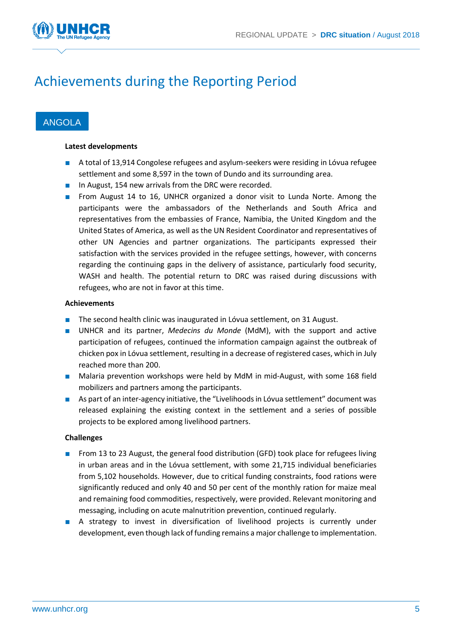

# Achievements during the Reporting Period

### ANGOLA

#### **Latest developments**

- A total of 13,914 Congolese refugees and asylum-seekers were residing in Lóvua refugee settlement and some 8,597 in the town of Dundo and its surrounding area.
- In August, 154 new arrivals from the DRC were recorded.
- From August 14 to 16, UNHCR organized a donor visit to Lunda Norte. Among the participants were the ambassadors of the Netherlands and South Africa and representatives from the embassies of France, Namibia, the United Kingdom and the United States of America, as well as the UN Resident Coordinator and representatives of other UN Agencies and partner organizations. The participants expressed their satisfaction with the services provided in the refugee settings, however, with concerns regarding the continuing gaps in the delivery of assistance, particularly food security, WASH and health. The potential return to DRC was raised during discussions with refugees, who are not in favor at this time.

#### **Achievements**

- The second health clinic was inaugurated in Lóvua settlement, on 31 August.
- UNHCR and its partner, *Medecins du Monde* (MdM), with the support and active participation of refugees, continued the information campaign against the outbreak of chicken pox in Lóvua settlement, resulting in a decrease of registered cases, which in July reached more than 200.
- Malaria prevention workshops were held by MdM in mid-August, with some 168 field mobilizers and partners among the participants.
- As part of an inter-agency initiative, the "Livelihoods in Lóvua settlement" document was released explaining the existing context in the settlement and a series of possible projects to be explored among livelihood partners.

#### **Challenges**

- From 13 to 23 August, the general food distribution (GFD) took place for refugees living in urban areas and in the Lóvua settlement, with some 21,715 individual beneficiaries from 5,102 households. However, due to critical funding constraints, food rations were significantly reduced and only 40 and 50 per cent of the monthly ration for maize meal and remaining food commodities, respectively, were provided. Relevant monitoring and messaging, including on acute malnutrition prevention, continued regularly.
- A strategy to invest in diversification of livelihood projects is currently under development, even though lack of funding remains a major challenge to implementation.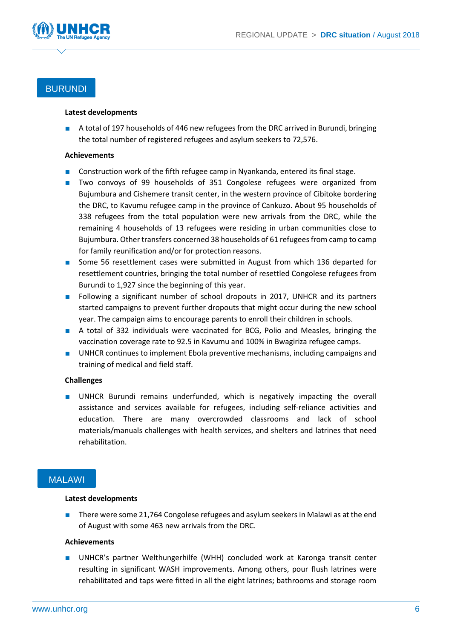

## BURUNDI

#### **Latest developments**

A total of 197 households of 446 new refugees from the DRC arrived in Burundi, bringing the total number of registered refugees and asylum seekers to 72,576.

#### **Achievements**

- Construction work of the fifth refugee camp in Nyankanda, entered its final stage.
- Two convoys of 99 households of 351 Congolese refugees were organized from Bujumbura and Cishemere transit center, in the western province of Cibitoke bordering the DRC, to Kavumu refugee camp in the province of Cankuzo. About 95 households of 338 refugees from the total population were new arrivals from the DRC, while the remaining 4 households of 13 refugees were residing in urban communities close to Bujumbura. Other transfers concerned 38 households of 61 refugees from camp to camp for family reunification and/or for protection reasons.
- Some 56 resettlement cases were submitted in August from which 136 departed for resettlement countries, bringing the total number of resettled Congolese refugees from Burundi to 1,927 since the beginning of this year.
- Following a significant number of school dropouts in 2017, UNHCR and its partners started campaigns to prevent further dropouts that might occur during the new school year. The campaign aims to encourage parents to enroll their children in schools.
- A total of 332 individuals were vaccinated for BCG, Polio and Measles, bringing the vaccination coverage rate to 92.5 in Kavumu and 100% in Bwagiriza refugee camps.
- UNHCR continues to implement Ebola preventive mechanisms, including campaigns and training of medical and field staff.

#### **Challenges**

■ UNHCR Burundi remains underfunded, which is negatively impacting the overall assistance and services available for refugees, including self-reliance activities and education. There are many overcrowded classrooms and lack of school materials/manuals challenges with health services, and shelters and latrines that need rehabilitation.

### **MALAWI**

#### **Latest developments**

■ There were some 21,764 Congolese refugees and asylum seekers in Malawi as at the end of August with some 463 new arrivals from the DRC.

#### **Achievements**

■ UNHCR's partner Welthungerhilfe (WHH) concluded work at Karonga transit center resulting in significant WASH improvements. Among others, pour flush latrines were rehabilitated and taps were fitted in all the eight latrines; bathrooms and storage room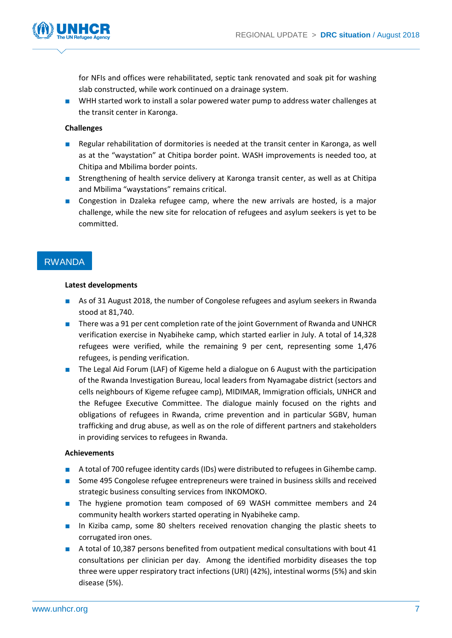

for NFIs and offices were rehabilitated, septic tank renovated and soak pit for washing slab constructed, while work continued on a drainage system.

■ WHH started work to install a solar powered water pump to address water challenges at the transit center in Karonga.

#### **Challenges**

- Regular rehabilitation of dormitories is needed at the transit center in Karonga, as well as at the "waystation" at Chitipa border point. WASH improvements is needed too, at Chitipa and Mbilima border points.
- Strengthening of health service delivery at Karonga transit center, as well as at Chitipa and Mbilima "waystations" remains critical.
- Congestion in Dzaleka refugee camp, where the new arrivals are hosted, is a major challenge, while the new site for relocation of refugees and asylum seekers is yet to be committed.

### RWANDA

#### **Latest developments**

- As of 31 August 2018, the number of Congolese refugees and asylum seekers in Rwanda stood at 81,740.
- There was a 91 per cent completion rate of the joint Government of Rwanda and UNHCR verification exercise in Nyabiheke camp, which started earlier in July. A total of 14,328 refugees were verified, while the remaining 9 per cent, representing some 1,476 refugees, is pending verification.
- The Legal Aid Forum (LAF) of Kigeme held a dialogue on 6 August with the participation of the Rwanda Investigation Bureau, local leaders from Nyamagabe district (sectors and cells neighbours of Kigeme refugee camp), MIDIMAR, Immigration officials, UNHCR and the Refugee Executive Committee. The dialogue mainly focused on the rights and obligations of refugees in Rwanda, crime prevention and in particular SGBV, human trafficking and drug abuse, as well as on the role of different partners and stakeholders in providing services to refugees in Rwanda.

#### **Achievements**

- A total of 700 refugee identity cards (IDs) were distributed to refugees in Gihembe camp.
- Some 495 Congolese refugee entrepreneurs were trained in business skills and received strategic business consulting services from INKOMOKO.
- The hygiene promotion team composed of 69 WASH committee members and 24 community health workers started operating in Nyabiheke camp.
- In Kiziba camp, some 80 shelters received renovation changing the plastic sheets to corrugated iron ones.
- A total of 10,387 persons benefited from outpatient medical consultations with bout 41 consultations per clinician per day. Among the identified morbidity diseases the top three were upper respiratory tract infections (URI) (42%), intestinal worms (5%) and skin disease (5%).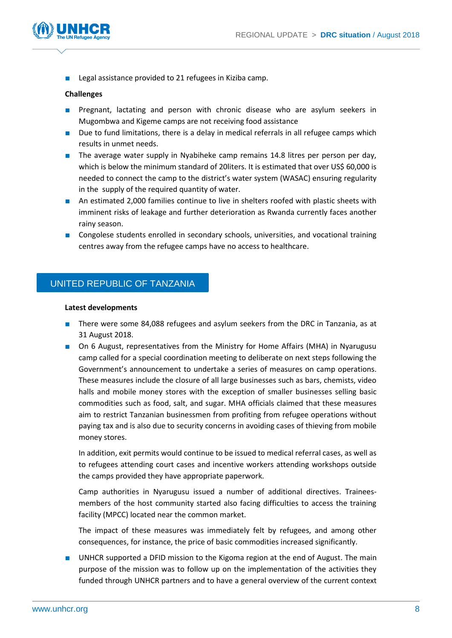

■ Legal assistance provided to 21 refugees in Kiziba camp.

#### **Challenges**

- Pregnant, lactating and person with chronic disease who are asylum seekers in Mugombwa and Kigeme camps are not receiving food assistance
- Due to fund limitations, there is a delay in medical referrals in all refugee camps which results in unmet needs.
- The average water supply in Nyabiheke camp remains 14.8 litres per person per day, which is below the minimum standard of 20liters. It is estimated that over US\$ 60,000 is needed to connect the camp to the district's water system (WASAC) ensuring regularity in the supply of the required quantity of water.
- An estimated 2,000 families continue to live in shelters roofed with plastic sheets with imminent risks of leakage and further deterioration as Rwanda currently faces another rainy season.
- Congolese students enrolled in secondary schools, universities, and vocational training centres away from the refugee camps have no access to healthcare.

### UNITED REPUBLIC OF TANZANIA

#### **Latest developments**

- There were some 84,088 refugees and asylum seekers from the DRC in Tanzania, as at 31 August 2018.
- On 6 August, representatives from the Ministry for Home Affairs (MHA) in Nyarugusu camp called for a special coordination meeting to deliberate on next steps following the Government's announcement to undertake a series of measures on camp operations. These measures include the closure of all large businesses such as bars, chemists, video halls and mobile money stores with the exception of smaller businesses selling basic commodities such as food, salt, and sugar. MHA officials claimed that these measures aim to restrict Tanzanian businessmen from profiting from refugee operations without paying tax and is also due to security concerns in avoiding cases of thieving from mobile money stores.

In addition, exit permits would continue to be issued to medical referral cases, as well as to refugees attending court cases and incentive workers attending workshops outside the camps provided they have appropriate paperwork.

Camp authorities in Nyarugusu issued a number of additional directives. Traineesmembers of the host community started also facing difficulties to access the training facility (MPCC) located near the common market.

The impact of these measures was immediately felt by refugees, and among other consequences, for instance, the price of basic commodities increased significantly.

■ UNHCR supported a DFID mission to the Kigoma region at the end of August. The main purpose of the mission was to follow up on the implementation of the activities they funded through UNHCR partners and to have a general overview of the current context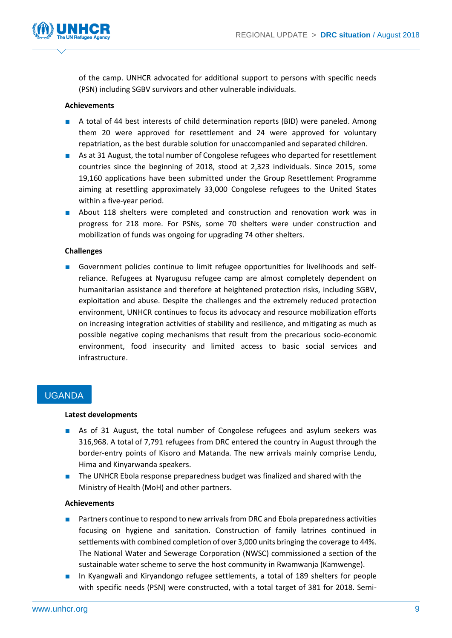

of the camp. UNHCR advocated for additional support to persons with specific needs (PSN) including SGBV survivors and other vulnerable individuals.

#### **Achievements**

- A total of 44 best interests of child determination reports (BID) were paneled. Among them 20 were approved for resettlement and 24 were approved for voluntary repatriation, as the best durable solution for unaccompanied and separated children.
- As at 31 August, the total number of Congolese refugees who departed for resettlement countries since the beginning of 2018, stood at 2,323 individuals. Since 2015, some 19,160 applications have been submitted under the Group Resettlement Programme aiming at resettling approximately 33,000 Congolese refugees to the United States within a five-year period.
- About 118 shelters were completed and construction and renovation work was in progress for 218 more. For PSNs, some 70 shelters were under construction and mobilization of funds was ongoing for upgrading 74 other shelters.

#### **Challenges**

■ Government policies continue to limit refugee opportunities for livelihoods and selfreliance. Refugees at Nyarugusu refugee camp are almost completely dependent on humanitarian assistance and therefore at heightened protection risks, including SGBV, exploitation and abuse. Despite the challenges and the extremely reduced protection environment, UNHCR continues to focus its advocacy and resource mobilization efforts on increasing integration activities of stability and resilience, and mitigating as much as possible negative coping mechanisms that result from the precarious socio-economic environment, food insecurity and limited access to basic social services and infrastructure.

### UGANDA

#### **Latest developments**

- As of 31 August, the total number of Congolese refugees and asylum seekers was 316,968. A total of 7,791 refugees from DRC entered the country in August through the border-entry points of Kisoro and Matanda. The new arrivals mainly comprise Lendu, Hima and Kinyarwanda speakers.
- The UNHCR Ebola response preparedness budget was finalized and shared with the Ministry of Health (MoH) and other partners.

#### **Achievements**

- Partners continue to respond to new arrivals from DRC and Ebola preparedness activities focusing on hygiene and sanitation. Construction of family latrines continued in settlements with combined completion of over 3,000 units bringing the coverage to 44%. The National Water and Sewerage Corporation (NWSC) commissioned a section of the sustainable water scheme to serve the host community in Rwamwanja (Kamwenge).
- In Kyangwali and Kiryandongo refugee settlements, a total of 189 shelters for people with specific needs (PSN) were constructed, with a total target of 381 for 2018. Semi-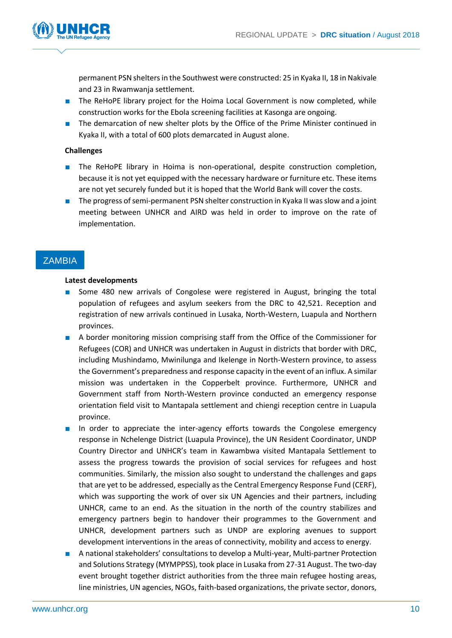

permanent PSN shelters in the Southwest were constructed: 25 in Kyaka II, 18 in Nakivale and 23 in Rwamwanja settlement.

- The ReHoPE library project for the Hoima Local Government is now completed, while construction works for the Ebola screening facilities at Kasonga are ongoing.
- The demarcation of new shelter plots by the Office of the Prime Minister continued in Kyaka II, with a total of 600 plots demarcated in August alone.

#### **Challenges**

- The ReHoPE library in Hoima is non-operational, despite construction completion, because it is not yet equipped with the necessary hardware or furniture etc. These items are not yet securely funded but it is hoped that the World Bank will cover the costs.
- The progress of semi-permanent PSN shelter construction in Kyaka II was slow and a joint meeting between UNHCR and AIRD was held in order to improve on the rate of implementation.

## **ZAMBIA**

#### **Latest developments**

- Some 480 new arrivals of Congolese were registered in August, bringing the total population of refugees and asylum seekers from the DRC to 42,521. Reception and registration of new arrivals continued in Lusaka, North-Western, Luapula and Northern provinces.
- A border monitoring mission comprising staff from the Office of the Commissioner for Refugees (COR) and UNHCR was undertaken in August in districts that border with DRC, including Mushindamo, Mwinilunga and Ikelenge in North-Western province, to assess the Government's preparedness and response capacity in the event of an influx. A similar mission was undertaken in the Copperbelt province. Furthermore, UNHCR and Government staff from North-Western province conducted an emergency response orientation field visit to Mantapala settlement and chiengi reception centre in Luapula province.
- In order to appreciate the inter-agency efforts towards the Congolese emergency response in Nchelenge District (Luapula Province), the UN Resident Coordinator, UNDP Country Director and UNHCR's team in Kawambwa visited Mantapala Settlement to assess the progress towards the provision of social services for refugees and host communities. Similarly, the mission also sought to understand the challenges and gaps that are yet to be addressed, especially as the Central Emergency Response Fund (CERF), which was supporting the work of over six UN Agencies and their partners, including UNHCR, came to an end. As the situation in the north of the country stabilizes and emergency partners begin to handover their programmes to the Government and UNHCR, development partners such as UNDP are exploring avenues to support development interventions in the areas of connectivity, mobility and access to energy.
- A national stakeholders' consultations to develop a Multi-year, Multi-partner Protection and Solutions Strategy (MYMPPSS), took place in Lusaka from 27-31 August. The two-day event brought together district authorities from the three main refugee hosting areas, line ministries, UN agencies, NGOs, faith-based organizations, the private sector, donors,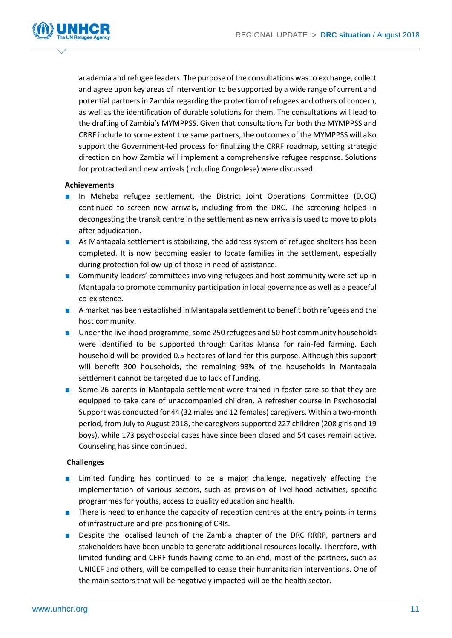

academia and refugee leaders. The purpose of the consultations was to exchange, collect and agree upon key areas of intervention to be supported by a wide range of current and potential partners in Zambia regarding the protection of refugees and others of concern, as well as the identification of durable solutions for them. The consultations will lead to the drafting of Zambia's MYMPPSS. Given that consultations for both the MYMPPSS and CRRF include to some extent the same partners, the outcomes of the MYMPPSS will also support the Government-led process for finalizing the CRRF roadmap, setting strategic direction on how Zambia will implement a comprehensive refugee response. Solutions for protracted and new arrivals (including Congolese) were discussed.

#### **Achievements**

- In Meheba refugee settlement, the District Joint Operations Committee (DJOC) continued to screen new arrivals, including from the DRC. The screening helped in decongesting the transit centre in the settlement as new arrivals is used to move to plots after adjudication.
- As Mantapala settlement is stabilizing, the address system of refugee shelters has been completed. It is now becoming easier to locate families in the settlement, especially during protection follow-up of those in need of assistance.
- Community leaders' committees involving refugees and host community were set up in Mantapala to promote community participation in local governance as well as a peaceful co-existence.
- A market has been established in Mantapala settlement to benefit both refugees and the host community.
- Under the livelihood programme, some 250 refugees and 50 host community households were identified to be supported through Caritas Mansa for rain-fed farming. Each household will be provided 0.5 hectares of land for this purpose. Although this support will benefit 300 households, the remaining 93% of the households in Mantapala settlement cannot be targeted due to lack of funding.
- Some 26 parents in Mantapala settlement were trained in foster care so that they are equipped to take care of unaccompanied children. A refresher course in Psychosocial Support was conducted for 44 (32 males and 12 females) caregivers. Within a two-month period, from July to August 2018, the caregivers supported 227 children (208 girls and 19 boys), while 173 psychosocial cases have since been closed and 54 cases remain active. Counseling has since continued.

#### **Challenges**

- Limited funding has continued to be a major challenge, negatively affecting the implementation of various sectors, such as provision of livelihood activities, specific programmes for youths, access to quality education and health.
- There is need to enhance the capacity of reception centres at the entry points in terms of infrastructure and pre-positioning of CRIs.
- Despite the localised launch of the Zambia chapter of the DRC RRRP, partners and stakeholders have been unable to generate additional resources locally. Therefore, with limited funding and CERF funds having come to an end, most of the partners, such as UNICEF and others, will be compelled to cease their humanitarian interventions. One of the main sectors that will be negatively impacted will be the health sector.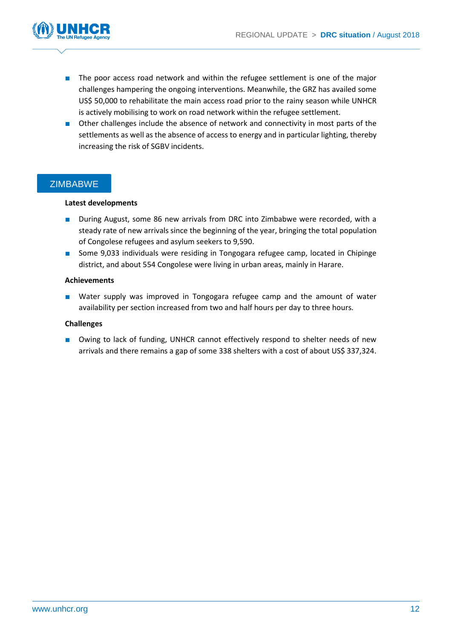

- The poor access road network and within the refugee settlement is one of the major challenges hampering the ongoing interventions. Meanwhile, the GRZ has availed some US\$ 50,000 to rehabilitate the main access road prior to the rainy season while UNHCR is actively mobilising to work on road network within the refugee settlement.
- Other challenges include the absence of network and connectivity in most parts of the settlements as well as the absence of access to energy and in particular lighting, thereby increasing the risk of SGBV incidents.

### **ZIMBABWE**

#### **Latest developments**

- During August, some 86 new arrivals from DRC into Zimbabwe were recorded, with a steady rate of new arrivals since the beginning of the year, bringing the total population of Congolese refugees and asylum seekers to 9,590.
- Some 9,033 individuals were residing in Tongogara refugee camp, located in Chipinge district, and about 554 Congolese were living in urban areas, mainly in Harare.

#### **Achievements**

■ Water supply was improved in Tongogara refugee camp and the amount of water availability per section increased from two and half hours per day to three hours.

#### **Challenges**

■ Owing to lack of funding, UNHCR cannot effectively respond to shelter needs of new arrivals and there remains a gap of some 338 shelters with a cost of about US\$ 337,324.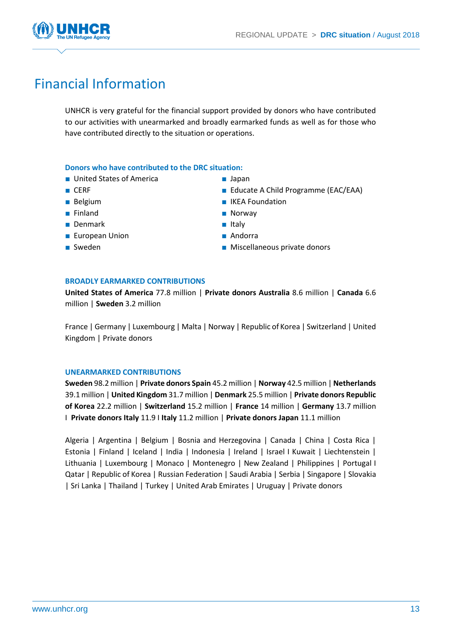

# Financial Information

UNHCR is very grateful for the financial support provided by donors who have contributed to our activities with unearmarked and broadly earmarked funds as well as for those who have contributed directly to the situation or operations.

#### **Donors who have contributed to the DRC situation:**

- United States of America
- CERF
- Belgium
- Finland
- Denmark
- European Union
- Sweden
- Japan
- Educate A Child Programme (EAC/EAA)
- IKEA Foundation
- Norway
- Italy
- Andorra
- Miscellaneous private donors

#### **BROADLY EARMARKED CONTRIBUTIONS**

**United States of America** 77.8 million | **Private donors Australia** 8.6 million | **Canada** 6.6 million | **Sweden** 3.2 million

France | Germany | Luxembourg | Malta | Norway | Republic of Korea | Switzerland | United Kingdom | Private donors

#### **UNEARMARKED CONTRIBUTIONS**

**Sweden** 98.2 million | **Private donors Spain** 45.2 million | **Norway** 42.5 million | **Netherlands** 39.1 million | **United Kingdom** 31.7 million | **Denmark** 25.5 million | **Private donors Republic of Korea** 22.2 million | **Switzerland** 15.2 million | **France** 14 million | **Germany** 13.7 million I **Private donors Italy** 11.9 I **Italy** 11.2 million | **Private donors Japan** 11.1 million

Algeria | Argentina | Belgium | Bosnia and Herzegovina | Canada | China | Costa Rica | Estonia | Finland | Iceland | India | Indonesia | Ireland | Israel I Kuwait | Liechtenstein | Lithuania | Luxembourg | Monaco | Montenegro | New Zealand | Philippines | Portugal I Qatar | Republic of Korea | Russian Federation | Saudi Arabia | Serbia | Singapore | Slovakia | Sri Lanka | Thailand | Turkey | United Arab Emirates | Uruguay | Private donors